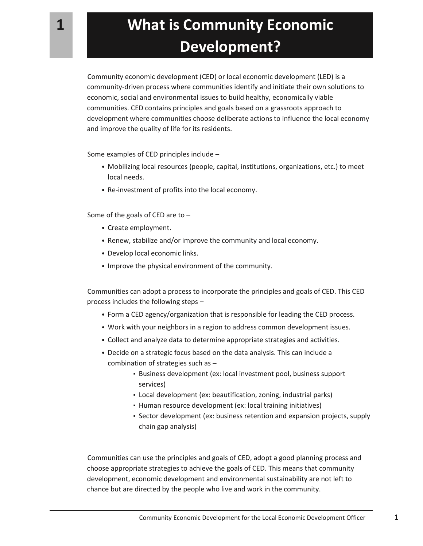Community economic development (CED) or local economic development (LED) is a community-driven process where communities identify and initiate their own solutions to economic, social and environmental issues to build healthy, economically viable communities. CED contains principles and goals based on a grassroots approach to development where communities choose deliberate actions to influence the local economy and improve the quality of life for its residents.

Some examples of CED principles include –

- Mobilizing local resources (people, capital, institutions, organizations, etc.) to meet local needs.
- Re-investment of profits into the local economy.

Some of the goals of CED are to –

- Create employment.
- Renew, stabilize and/or improve the community and local economy.
- Develop local economic links.
- Improve the physical environment of the community.

Communities can adopt a process to incorporate the principles and goals of CED. This CED process includes the following steps –

- Form a CED agency/organization that is responsible for leading the CED process.
- Work with your neighbors in a region to address common development issues.
- Collect and analyze data to determine appropriate strategies and activities.
- Decide on a strategic focus based on the data analysis. This can include a combination of strategies such as –
	- Business development (ex: local investment pool, business support services)
	- Local development (ex: beautification, zoning, industrial parks)
	- Human resource development (ex: local training initiatives)
	- Sector development (ex: business retention and expansion projects, supply chain gap analysis)

Communities can use the principles and goals of CED, adopt a good planning process and choose appropriate strategies to achieve the goals of CED. This means that community development, economic development and environmental sustainability are not left to chance but are directed by the people who live and work in the community.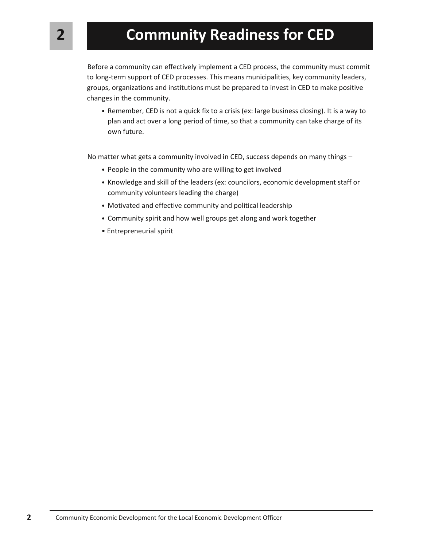Before a community can effectively implement a CED process, the community must commit to long-term support of CED processes. This means municipalities, key community leaders, groups, organizations and institutions must be prepared to invest in CED to make positive changes in the community.

• Remember, CED is not a quick fix to a crisis (ex: large business closing). It is a way to plan and act over a long period of time, so that a community can take charge of its own future.

No matter what gets a community involved in CED, success depends on many things –

- People in the community who are willing to get involved
- Knowledge and skill of the leaders (ex: councilors, economic development staff or community volunteers leading the charge)
- Motivated and effective community and political leadership
- Community spirit and how well groups get along and work together
- Entrepreneurial spirit